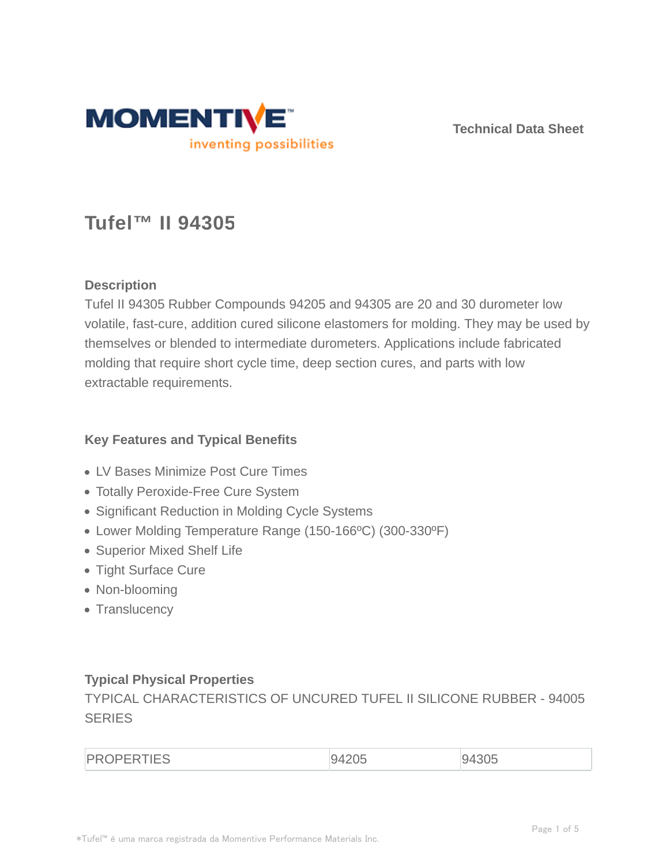

**Technical Data Sheet**

# **Tufel™ II 94305**

# **Description**

Tufel II 94305 Rubber Compounds 94205 and 94305 are 20 and 30 durometer low volatile, fast-cure, addition cured silicone elastomers for molding. They may be used by themselves or blended to intermediate durometers. Applications include fabricated molding that require short cycle time, deep section cures, and parts with low extractable requirements.

# **Key Features and Typical Benefits**

- LV Bases Minimize Post Cure Times
- Totally Peroxide-Free Cure System
- Significant Reduction in Molding Cycle Systems
- Lower Molding Temperature Range (150-166ºC) (300-330ºF)
- Superior Mixed Shelf Life
- Tight Surface Cure
- Non-blooming
- Translucency

# **Typical Physical Properties**

TYPICAL CHARACTERISTICS OF UNCURED TUFEL II SILICONE RUBBER - 94005 **SERIES** 

| <b>PROPERTIES</b> | 9420F<br>UJ | 94305 |
|-------------------|-------------|-------|
|                   |             |       |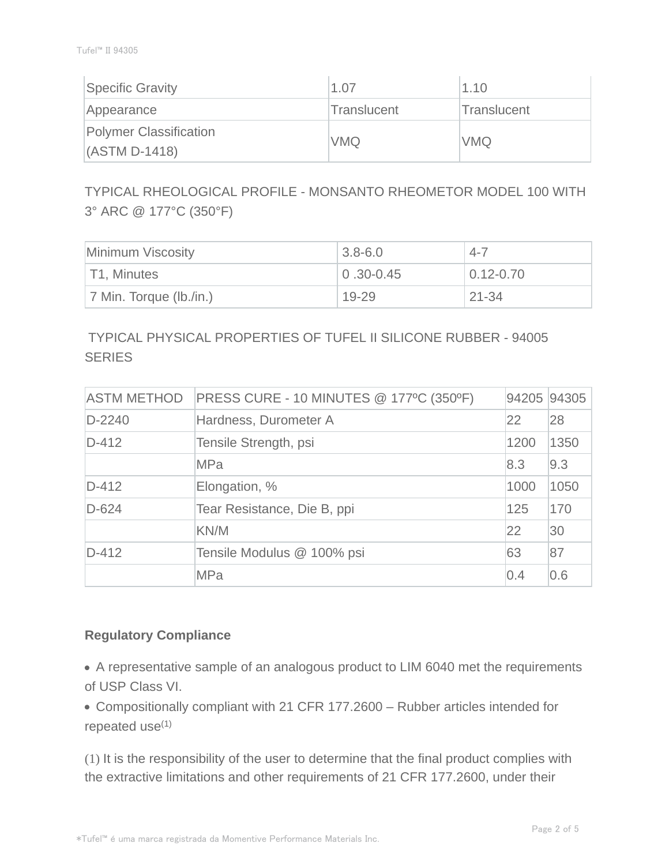| Specific Gravity                          | 1.07        | 1.10        |
|-------------------------------------------|-------------|-------------|
| Appearance                                | Translucent | Translucent |
| Polymer Classification<br>$(ASTM D-1418)$ | <b>VMQ</b>  | <b>VMQ</b>  |

TYPICAL RHEOLOGICAL PROFILE - MONSANTO RHEOMETOR MODEL 100 WITH 3° ARC @ 177°C (350°F)

| Minimum Viscosity          | $3.8 - 6.0$     | $4 - 7$       |
|----------------------------|-----------------|---------------|
| T1, Minutes                | $ 0.30 - 0.45 $ | $0.12 - 0.70$ |
| $ 7$ Min. Torque (lb./in.) | 19-29           | $21 - 34$     |

# TYPICAL PHYSICAL PROPERTIES OF TUFEL II SILICONE RUBBER - 94005 **SERIES**

| <b>ASTM METHOD</b> | PRESS CURE - 10 MINUTES @ 177°C (350°F) | 94205 94305 |      |
|--------------------|-----------------------------------------|-------------|------|
| $D-2240$           | Hardness, Durometer A                   | 22          | 28   |
| $D-412$            | Tensile Strength, psi                   | 1200        | 1350 |
|                    | <b>MPa</b>                              | 8.3         | 9.3  |
| $D-412$            | Elongation, %                           | 1000        | 1050 |
| $D-624$            | Tear Resistance, Die B, ppi             | 125         | 170  |
|                    | KN/M                                    | 22          | 30   |
| $D-412$            | Tensile Modulus @ 100% psi              | 63          | 87   |
|                    | <b>MPa</b>                              | 0.4         | 0.6  |

# **Regulatory Compliance**

A representative sample of an analogous product to LIM 6040 met the requirements of USP Class VI.

Compositionally compliant with 21 CFR 177.2600 – Rubber articles intended for repeated use<sup>(1)</sup>

(1) It is the responsibility of the user to determine that the final product complies with the extractive limitations and other requirements of 21 CFR 177.2600, under their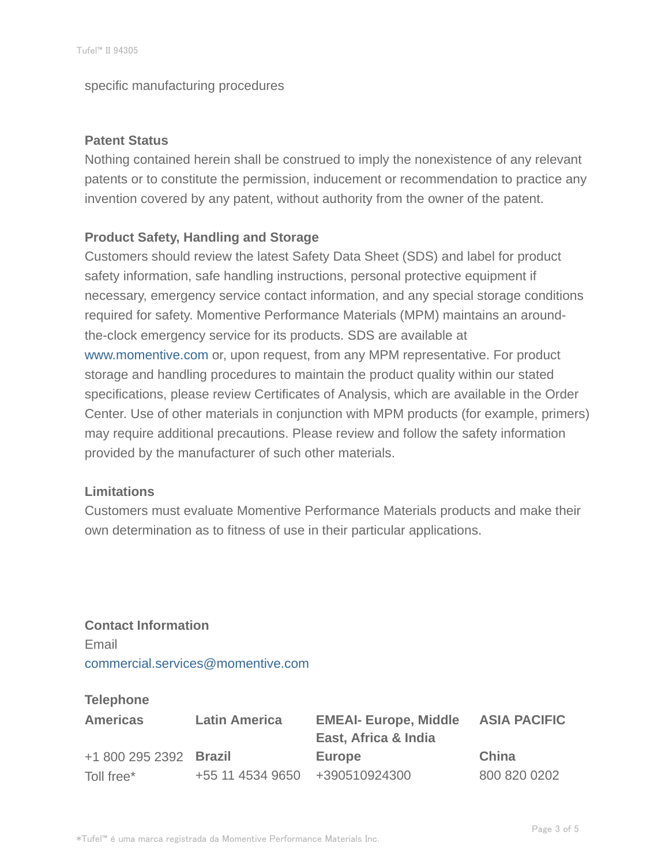specific manufacturing procedures

#### **Patent Status**

Nothing contained herein shall be construed to imply the nonexistence of any relevant patents or to constitute the permission, inducement or recommendation to practice any invention covered by any patent, without authority from the owner of the patent.

### **Product Safety, Handling and Storage**

Customers should review the latest Safety Data Sheet (SDS) and label for product safety information, safe handling instructions, personal protective equipment if necessary, emergency service contact information, and any special storage conditions required for safety. Momentive Performance Materials (MPM) maintains an aroundthe-clock emergency service for its products. SDS are available at www.momentive.com or, upon request, from any MPM representative. For product storage and handling procedures to maintain the product quality within our stated specifications, please review Certificates of Analysis, which are available in the Order Center. Use of other materials in conjunction with MPM products (for example, primers) may require additional precautions. Please review and follow the safety information provided by the manufacturer of such other materials.

#### **Limitations**

Customers must evaluate Momentive Performance Materials products and make their own determination as to fitness of use in their particular applications.

**Contact Information** Email commercial.services@momentive.com

#### **Telephone**

| <b>Americas</b>        | <b>Latin America</b>           | <b>EMEAI- Europe, Middle</b><br>East, Africa & India | <b>ASIA PACIFIC</b> |
|------------------------|--------------------------------|------------------------------------------------------|---------------------|
| +1 800 295 2392 Brazil |                                | <b>Europe</b>                                        | China               |
| Toll free*             | +55 11 4534 9650 +390510924300 |                                                      | 800 820 0202        |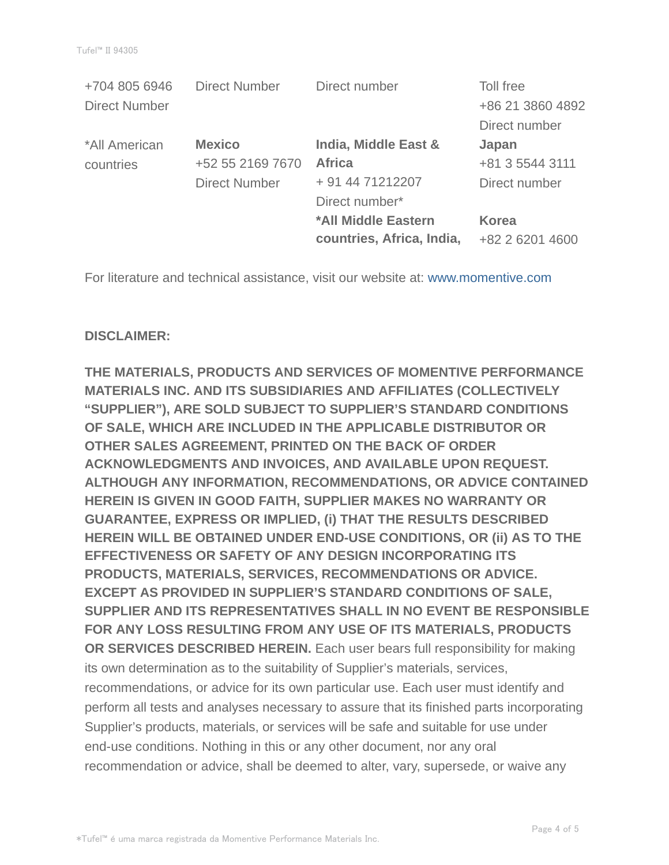| <b>Direct Number</b> | Direct number             | Toll free        |
|----------------------|---------------------------|------------------|
|                      |                           | +86 21 3860 4892 |
|                      |                           | Direct number    |
| <b>Mexico</b>        | India, Middle East &      | Japan            |
| +52 55 2169 7670     | <b>Africa</b>             | +81 3 5544 3111  |
| <b>Direct Number</b> | + 91 44 71212207          | Direct number    |
|                      | Direct number*            |                  |
|                      | *All Middle Eastern       | <b>Korea</b>     |
|                      | countries, Africa, India, | +82 2 6201 4600  |
|                      |                           |                  |

For literature and technical assistance, visit our website at: www.momentive.com

#### **DISCLAIMER:**

**THE MATERIALS, PRODUCTS AND SERVICES OF MOMENTIVE PERFORMANCE MATERIALS INC. AND ITS SUBSIDIARIES AND AFFILIATES (COLLECTIVELY "SUPPLIER"), ARE SOLD SUBJECT TO SUPPLIER'S STANDARD CONDITIONS OF SALE, WHICH ARE INCLUDED IN THE APPLICABLE DISTRIBUTOR OR OTHER SALES AGREEMENT, PRINTED ON THE BACK OF ORDER ACKNOWLEDGMENTS AND INVOICES, AND AVAILABLE UPON REQUEST. ALTHOUGH ANY INFORMATION, RECOMMENDATIONS, OR ADVICE CONTAINED HEREIN IS GIVEN IN GOOD FAITH, SUPPLIER MAKES NO WARRANTY OR GUARANTEE, EXPRESS OR IMPLIED, (i) THAT THE RESULTS DESCRIBED HEREIN WILL BE OBTAINED UNDER END-USE CONDITIONS, OR (ii) AS TO THE EFFECTIVENESS OR SAFETY OF ANY DESIGN INCORPORATING ITS PRODUCTS, MATERIALS, SERVICES, RECOMMENDATIONS OR ADVICE. EXCEPT AS PROVIDED IN SUPPLIER'S STANDARD CONDITIONS OF SALE, SUPPLIER AND ITS REPRESENTATIVES SHALL IN NO EVENT BE RESPONSIBLE FOR ANY LOSS RESULTING FROM ANY USE OF ITS MATERIALS, PRODUCTS OR SERVICES DESCRIBED HEREIN.** Each user bears full responsibility for making its own determination as to the suitability of Supplier's materials, services, recommendations, or advice for its own particular use. Each user must identify and perform all tests and analyses necessary to assure that its finished parts incorporating Supplier's products, materials, or services will be safe and suitable for use under end-use conditions. Nothing in this or any other document, nor any oral recommendation or advice, shall be deemed to alter, vary, supersede, or waive any